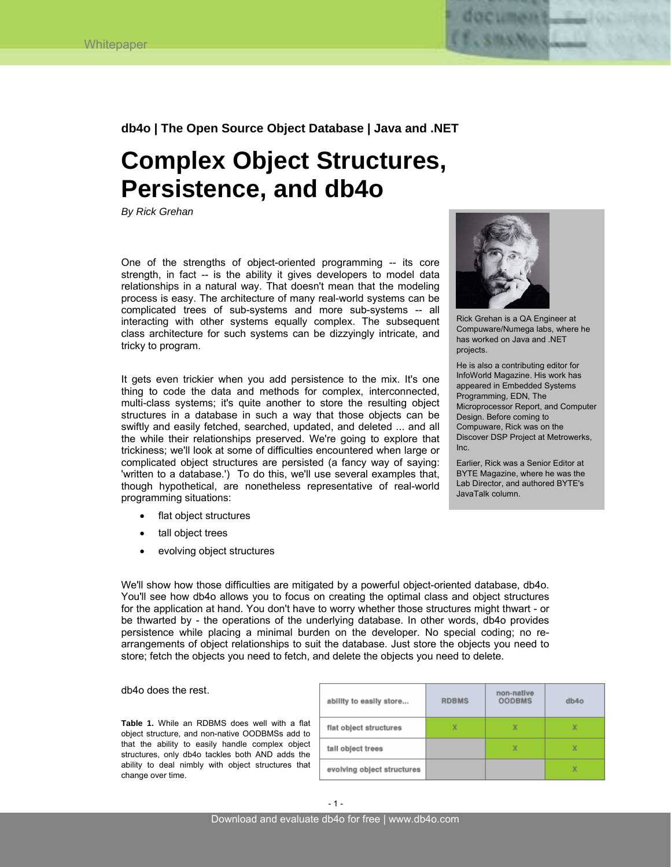

**db4o | The Open Source Object Database | Java and .NET** 

# **Complex Object Structures, Persistence, and db4o**

*By Rick Grehan* 

One of the strengths of object-oriented programming -- its core strength, in fact -- is the ability it gives developers to model data relationships in a natural way. That doesn't mean that the modeling process is easy. The architecture of many real-world systems can be complicated trees of sub-systems and more sub-systems -- all interacting with other systems equally complex. The subsequent class architecture for such systems can be dizzyingly intricate, and tricky to program.

It gets even trickier when you add persistence to the mix. It's one thing to code the data and methods for complex, interconnected, multi-class systems; it's quite another to store the resulting object structures in a database in such a way that those objects can be swiftly and easily fetched, searched, updated, and deleted ... and all the while their relationships preserved. We're going to explore that trickiness; we'll look at some of difficulties encountered when large or complicated object structures are persisted (a fancy way of saying: 'written to a database.') To do this, we'll use several examples that, though hypothetical, are nonetheless representative of real-world programming situations:



Rick Grehan is a QA Engineer at Compuware/Numega labs, where he has worked on Java and .NET projects.

He is also a contributing editor for InfoWorld Magazine. His work has appeared in Embedded Systems Programming, EDN, The Microprocessor Report, and Computer Design. Before coming to Compuware, Rick was on the Discover DSP Project at Metrowerks, Inc.

Earlier, Rick was a Senior Editor at BYTE Magazine, where he was the Lab Director, and authored BYTE's JavaTalk column.

- flat object structures
- tall object trees
- evolving object structures

We'll show how those difficulties are mitigated by a powerful object-oriented database, db4o. You'll see how db4o allows you to focus on creating the optimal class and object structures for the application at hand. You don't have to worry whether those structures might thwart - or be thwarted by - the operations of the underlying database. In other words, db4o provides persistence while placing a minimal burden on the developer. No special coding; no rearrangements of object relationships to suit the database. Just store the objects you need to store; fetch the objects you need to fetch, and delete the objects you need to delete.

db4o does the rest.

**Table 1.** While an RDBMS does well with a flat object structure, and non-native OODBMSs add to that the ability to easily handle complex object structures, only db4o tackles both AND adds the ability to deal nimbly with object structures that change over time.

| ability to easily store    | <b>RDBMS</b> | non-native<br><b>OODBMS</b> | db4o |
|----------------------------|--------------|-----------------------------|------|
| flat object structures     | x            | х                           | x    |
| tall object trees          |              | x                           | x    |
| evolving object structures |              |                             | x    |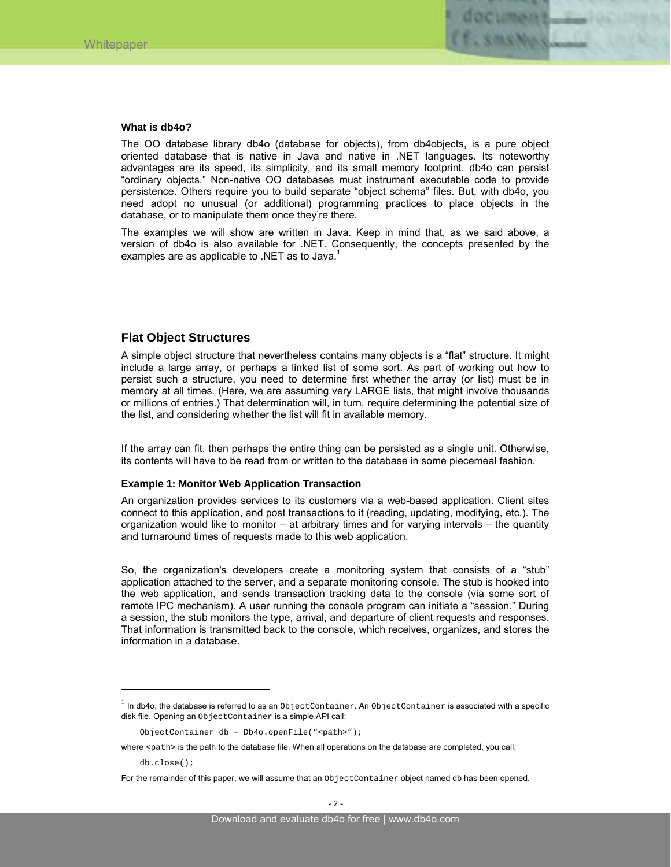

## **What is db4o?**

The OO database library db4o (database for objects), from db4objects, is a pure object oriented database that is native in Java and native in .NET languages. Its noteworthy advantages are its speed, its simplicity, and its small memory footprint. db4o can persist "ordinary objects." Non-native OO databases must instrument executable code to provide persistence. Others require you to build separate "object schema" files. But, with db4o, you need adopt no unusual (or additional) programming practices to place objects in the database, or to manipulate them once they're there.

The examples we will show are written in Java. Keep in mind that, as we said above, a version of db4o is also available for .NET. Consequently, the concepts presented by the examples are as applicable to .NET as to Java.<sup>1</sup>

# **Flat Object Structures**

A simple object structure that nevertheless contains many objects is a "flat" structure. It might include a large array, or perhaps a linked list of some sort. As part of working out how to persist such a structure, you need to determine first whether the array (or list) must be in memory at all times. (Here, we are assuming very LARGE lists, that might involve thousands or millions of entries.) That determination will, in turn, require determining the potential size of the list, and considering whether the list will fit in available memory.

If the array can fit, then perhaps the entire thing can be persisted as a single unit. Otherwise, its contents will have to be read from or written to the database in some piecemeal fashion.

## **Example 1: Monitor Web Application Transaction**

An organization provides services to its customers via a web-based application. Client sites connect to this application, and post transactions to it (reading, updating, modifying, etc.). The organization would like to monitor – at arbitrary times and for varying intervals – the quantity and turnaround times of requests made to this web application.

So, the organization's developers create a monitoring system that consists of a "stub" application attached to the server, and a separate monitoring console. The stub is hooked into the web application, and sends transaction tracking data to the console (via some sort of remote IPC mechanism). A user running the console program can initiate a "session." During a session, the stub monitors the type, arrival, and departure of client requests and responses. That information is transmitted back to the console, which receives, organizes, and stores the information in a database.

 $\overline{a}$ 

 $1$  In db4o, the database is referred to as an ObjectContainer. An ObjectContainer is associated with a specific disk file. Opening an ObjectContainer is a simple API call:

ObjectContainer db = Db4o.openFile("<path>");

where <path> is the path to the database file. When all operations on the database are completed, you call:

db.close();

For the remainder of this paper, we will assume that an ObjectContainer object named db has been opened.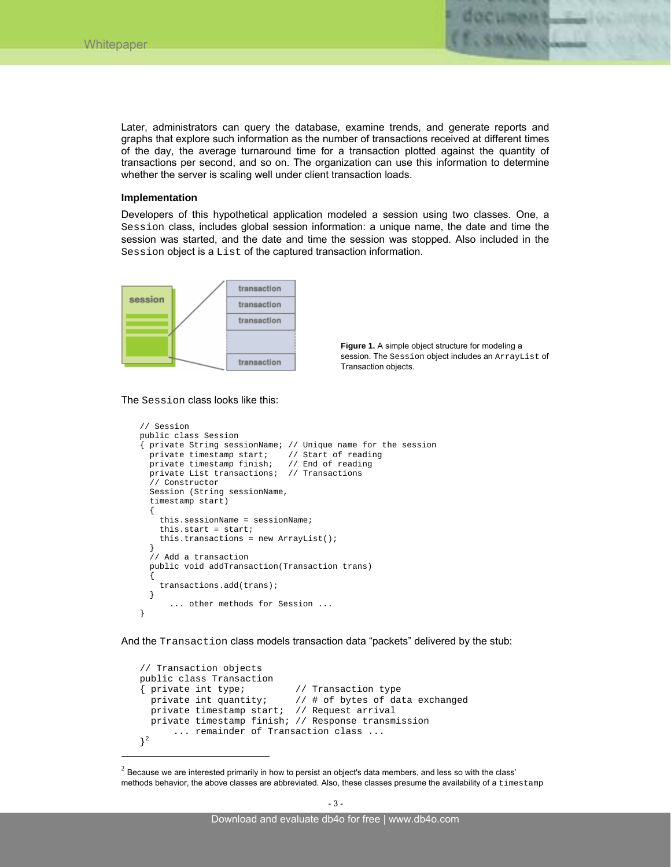

Later, administrators can query the database, examine trends, and generate reports and graphs that explore such information as the number of transactions received at different times of the day, the average turnaround time for a transaction plotted against the quantity of transactions per second, and so on. The organization can use this information to determine whether the server is scaling well under client transaction loads.

# **Implementation**

Developers of this hypothetical application modeled a session using two classes. One, a Session class, includes global session information: a unique name, the date and time the session was started, and the date and time the session was stopped. Also included in the Session object is a List of the captured transaction information.





The Session class looks like this:

l

```
// Session 
public class Session 
{ private String sessionName; // Unique name for the session 
  private timestamp start; // Start of reading
   private timestamp finish; // End of reading 
   private List transactions; // Transactions 
   // Constructor 
   Session (String sessionName, 
   timestamp start) 
\{ this.sessionName = sessionName; 
     this.start = start; 
     this.transactions = new ArrayList(); 
 } 
   // Add a transaction 
   public void addTransaction(Transaction trans) 
\{ transactions.add(trans); 
   } 
       ... other methods for Session ... 
}
```
And the Transaction class models transaction data "packets" delivered by the stub:

```
// Transaction objects 
public class Transaction 
{ private int type; // Transaction type 
 private int quantity; // # of bytes of data exchanged 
 private timestamp start; // Request arrival 
 private timestamp finish; // Response transmission 
       ... remainder of Transaction class ... 
}2
```
 $^{2}$  Because we are interested primarily in how to persist an object's data members, and less so with the class' methods behavior, the above classes are abbreviated. Also, these classes presume the availability of a timestamp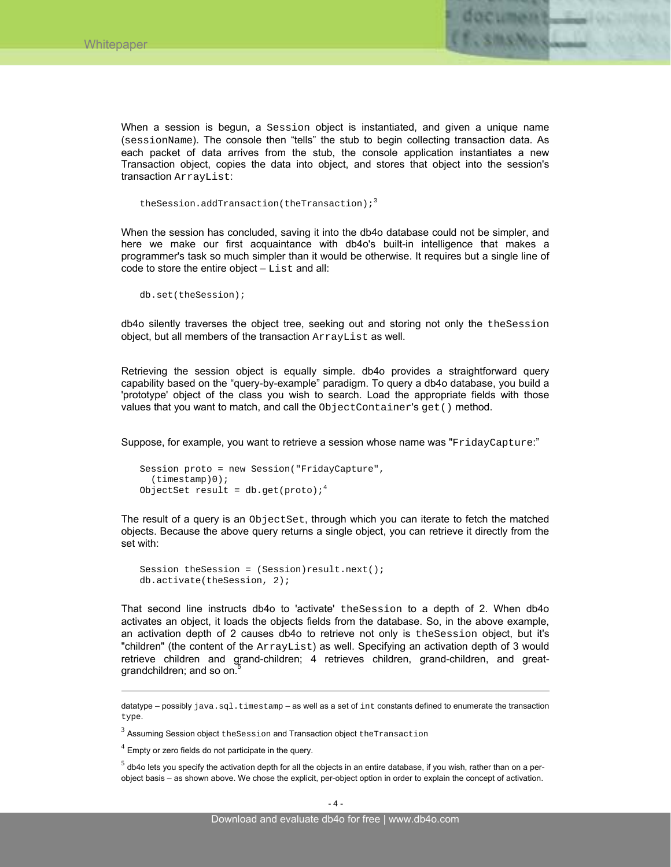

When a session is begun, a Session object is instantiated, and given a unique name (sessionName). The console then "tells" the stub to begin collecting transaction data. As each packet of data arrives from the stub, the console application instantiates a new Transaction object, copies the data into object, and stores that object into the session's transaction ArrayList:

theSession.addTransaction(theTransaction) $i^3$ 

When the session has concluded, saving it into the db4o database could not be simpler, and here we make our first acquaintance with db4o's built-in intelligence that makes a programmer's task so much simpler than it would be otherwise. It requires but a single line of code to store the entire object  $-List$  and all:

db.set(theSession);

db4o silently traverses the object tree, seeking out and storing not only the theSession object, but all members of the transaction ArrayList as well.

Retrieving the session object is equally simple. db4o provides a straightforward query capability based on the "query-by-example" paradigm. To query a db4o database, you build a 'prototype' object of the class you wish to search. Load the appropriate fields with those values that you want to match, and call the ObjectContainer's get() method.

Suppose, for example, you want to retrieve a session whose name was "FridayCapture:"

```
Session proto = new Session("FridayCapture", 
   (timestamp)0); 
ObjectSet result = db.get(pred);<sup>4</sup>
```
The result of a query is an ObjectSet, through which you can iterate to fetch the matched objects. Because the above query returns a single object, you can retrieve it directly from the set with:

```
Session theSession = (Session)result.next();
db.activate(theSession, 2);
```
That second line instructs db4o to 'activate' theSession to a depth of 2. When db4o activates an object, it loads the objects fields from the database. So, in the above example, an activation depth of 2 causes db4o to retrieve not only is theSession object, but it's "children" (the content of the ArrayList) as well. Specifying an activation depth of 3 would retrieve children and grand-children; 4 retrieves children, grand-children, and greatgrandchildren; and so on.<sup>5</sup>

 $\overline{a}$ 

datatype – possibly  $java.sq1.timestemp - as$  well as a set of  $int$  constants defined to enumerate the transaction type.

 $^3$  Assuming Session object the Session and Transaction object the Transaction

 $4$  Empty or zero fields do not participate in the query.

 $<sup>5</sup>$  db4o lets you specify the activation depth for all the objects in an entire database, if you wish, rather than on a per-</sup> object basis – as shown above. We chose the explicit, per-object option in order to explain the concept of activation.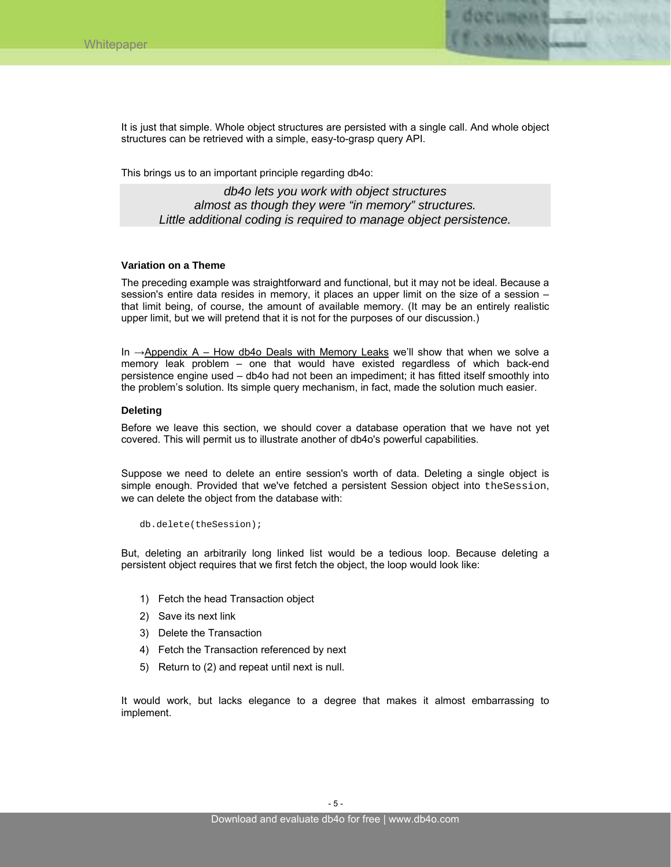

It is just that simple. Whole object structures are persisted with a single call. And whole object structures can be retrieved with a simple, easy-to-grasp query API.

This brings us to an important principle regarding db4o:

*db4o lets you work with object structures almost as though they were "in memory" structures. Little additional coding is required to manage object persistence.* 

## **Variation on a Theme**

The preceding example was straightforward and functional, but it may not be ideal. Because a session's entire data resides in memory, it places an upper limit on the size of a session – that limit being, of course, the amount of available memory. (It may be an entirely realistic upper limit, but we will pretend that it is not for the purposes of our discussion.)

In  $\rightarrow$ Appendix A – How db4o Deals with Memory Leaks we'll show that when we solve a memory leak problem – one that would have existed regardless of which back-end persistence engine used – db4o had not been an impediment; it has fitted itself smoothly into the problem's solution. Its simple query mechanism, in fact, made the solution much easier.

## **Deleting**

Before we leave this section, we should cover a database operation that we have not yet covered. This will permit us to illustrate another of db4o's powerful capabilities.

Suppose we need to delete an entire session's worth of data. Deleting a single object is simple enough. Provided that we've fetched a persistent Session object into the Session, we can delete the object from the database with:

db.delete(theSession);

But, deleting an arbitrarily long linked list would be a tedious loop. Because deleting a persistent object requires that we first fetch the object, the loop would look like:

- 1) Fetch the head Transaction object
- 2) Save its next link
- 3) Delete the Transaction
- 4) Fetch the Transaction referenced by next
- 5) Return to (2) and repeat until next is null.

It would work, but lacks elegance to a degree that makes it almost embarrassing to implement.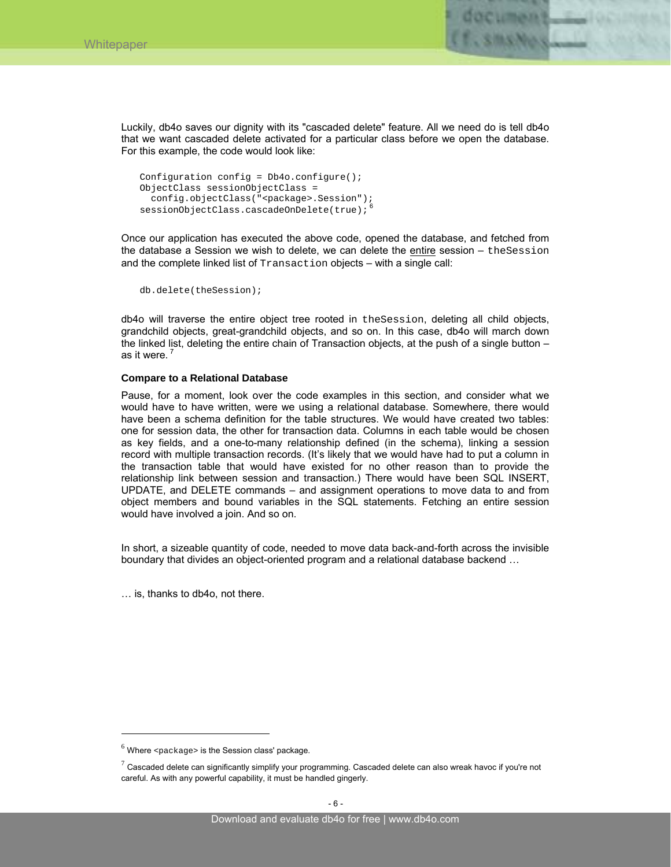

Luckily, db4o saves our dignity with its "cascaded delete" feature. All we need do is tell db4o that we want cascaded delete activated for a particular class before we open the database. For this example, the code would look like:

```
Configuration config = Db4o.configure(); 
ObjectClass sessionObjectClass = 
 config.objectClass("<package>.Session");
sessionObjectClass.cascadeOnDelete(true); 6
```
Once our application has executed the above code, opened the database, and fetched from the database a Session we wish to delete, we can delete the entire session  $-$  the Session and the complete linked list of Transaction objects – with a single call:

```
db.delete(theSession);
```
db4o will traverse the entire object tree rooted in theSession, deleting all child objects, grandchild objects, great-grandchild objects, and so on. In this case, db4o will march down the linked list, deleting the entire chain of Transaction objects, at the push of a single button – as it were.<sup>7</sup>

## **Compare to a Relational Database**

Pause, for a moment, look over the code examples in this section, and consider what we would have to have written, were we using a relational database. Somewhere, there would have been a schema definition for the table structures. We would have created two tables: one for session data, the other for transaction data. Columns in each table would be chosen as key fields, and a one-to-many relationship defined (in the schema), linking a session record with multiple transaction records. (It's likely that we would have had to put a column in the transaction table that would have existed for no other reason than to provide the relationship link between session and transaction.) There would have been SQL INSERT, UPDATE, and DELETE commands – and assignment operations to move data to and from object members and bound variables in the SQL statements. Fetching an entire session would have involved a join. And so on.

In short, a sizeable quantity of code, needed to move data back-and-forth across the invisible boundary that divides an object-oriented program and a relational database backend …

… is, thanks to db4o, not there.

l

 $^6$  Where <package> is the Session class' package.

 $7$  Cascaded delete can significantly simplify your programming. Cascaded delete can also wreak havoc if you're not careful. As with any powerful capability, it must be handled gingerly.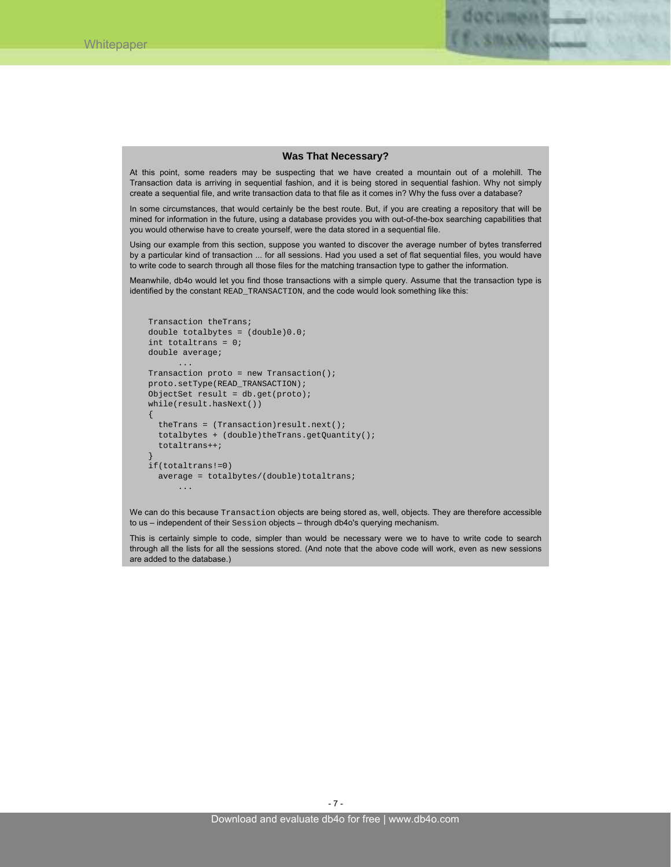## **Was That Necessary?**

document f. smsNes

At this point, some readers may be suspecting that we have created a mountain out of a molehill. The Transaction data is arriving in sequential fashion, and it is being stored in sequential fashion. Why not simply create a sequential file, and write transaction data to that file as it comes in? Why the fuss over a database?

In some circumstances, that would certainly be the best route. But, if you are creating a repository that will be mined for information in the future, using a database provides you with out-of-the-box searching capabilities that you would otherwise have to create yourself, were the data stored in a sequential file.

Using our example from this section, suppose you wanted to discover the average number of bytes transferred by a particular kind of transaction ... for all sessions. Had you used a set of flat sequential files, you would have to write code to search through all those files for the matching transaction type to gather the information.

Meanwhile, db4o would let you find those transactions with a simple query. Assume that the transaction type is identified by the constant READ\_TRANSACTION, and the code would look something like this:

```
Transaction theTrans; 
double totalbytes = (double)0.0; 
int totaltrans = 0; 
double average; 
 ... 
Transaction proto = new Transaction();
proto.setType(READ_TRANSACTION); 
ObjectSet result = db.get(proto); 
while(result.hasNext()) 
{ 
   theTrans = (Transaction)result.next(); 
   totalbytes + (double)theTrans.getQuantity(); 
   totaltrans++; 
} 
if(totaltrans!=0) 
  average = totalbytes/(double) total trans; ...
```
We can do this because Transaction objects are being stored as, well, objects. They are therefore accessible to us – independent of their Session objects – through db4o's querying mechanism.

This is certainly simple to code, simpler than would be necessary were we to have to write code to search through all the lists for all the sessions stored. (And note that the above code will work, even as new sessions are added to the database.)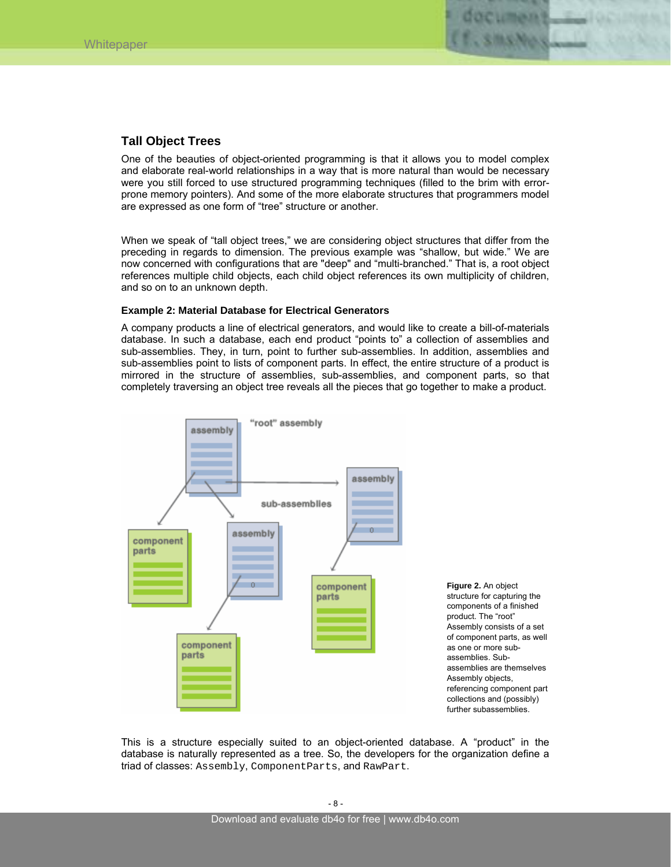

# **Tall Object Trees**

One of the beauties of object-oriented programming is that it allows you to model complex and elaborate real-world relationships in a way that is more natural than would be necessary were you still forced to use structured programming techniques (filled to the brim with errorprone memory pointers). And some of the more elaborate structures that programmers model are expressed as one form of "tree" structure or another.

When we speak of "tall object trees," we are considering object structures that differ from the preceding in regards to dimension. The previous example was "shallow, but wide." We are now concerned with configurations that are "deep" and "multi-branched." That is, a root object references multiple child objects, each child object references its own multiplicity of children, and so on to an unknown depth.

## **Example 2: Material Database for Electrical Generators**

A company products a line of electrical generators, and would like to create a bill-of-materials database. In such a database, each end product "points to" a collection of assemblies and sub-assemblies. They, in turn, point to further sub-assemblies. In addition, assemblies and sub-assemblies point to lists of component parts. In effect, the entire structure of a product is mirrored in the structure of assemblies, sub-assemblies, and component parts, so that completely traversing an object tree reveals all the pieces that go together to make a product.



This is a structure especially suited to an object-oriented database. A "product" in the database is naturally represented as a tree. So, the developers for the organization define a triad of classes: Assembly, ComponentParts, and RawPart.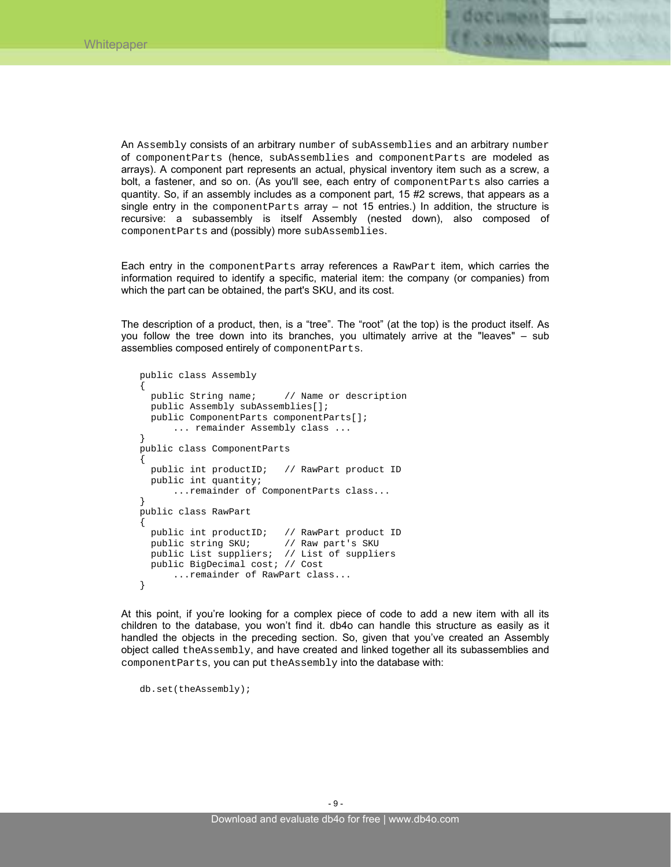

An Assembly consists of an arbitrary number of subAssemblies and an arbitrary number of componentParts (hence, subAssemblies and componentParts are modeled as arrays). A component part represents an actual, physical inventory item such as a screw, a bolt, a fastener, and so on. (As you'll see, each entry of component Parts also carries a quantity. So, if an assembly includes as a component part, 15 #2 screws, that appears as a single entry in the component Parts array  $-$  not 15 entries.) In addition, the structure is recursive: a subassembly is itself Assembly (nested down), also composed of componentParts and (possibly) more subAssemblies.

Each entry in the componentParts array references a RawPart item, which carries the information required to identify a specific, material item: the company (or companies) from which the part can be obtained, the part's SKU, and its cost.

The description of a product, then, is a "tree". The "root" (at the top) is the product itself. As you follow the tree down into its branches, you ultimately arrive at the "leaves" – sub assemblies composed entirely of componentParts.

```
public class Assembly 
{ 
   public String name; // Name or description 
   public Assembly subAssemblies[]; 
   public ComponentParts componentParts[]; 
       ... remainder Assembly class ... 
} 
public class ComponentParts 
{ 
   public int productID; // RawPart product ID 
   public int quantity; 
       ...remainder of ComponentParts class... 
} 
public class RawPart 
{ 
   public int productID; // RawPart product ID 
   public string SKU; // Raw part's SKU 
   public List suppliers; // List of suppliers 
   public BigDecimal cost; // Cost 
       ...remainder of RawPart class... 
}
```
At this point, if you're looking for a complex piece of code to add a new item with all its children to the database, you won't find it. db4o can handle this structure as easily as it handled the objects in the preceding section. So, given that you've created an Assembly object called theAssembly, and have created and linked together all its subassemblies and componentParts, you can put theAssembly into the database with:

```
db.set(theAssembly);
```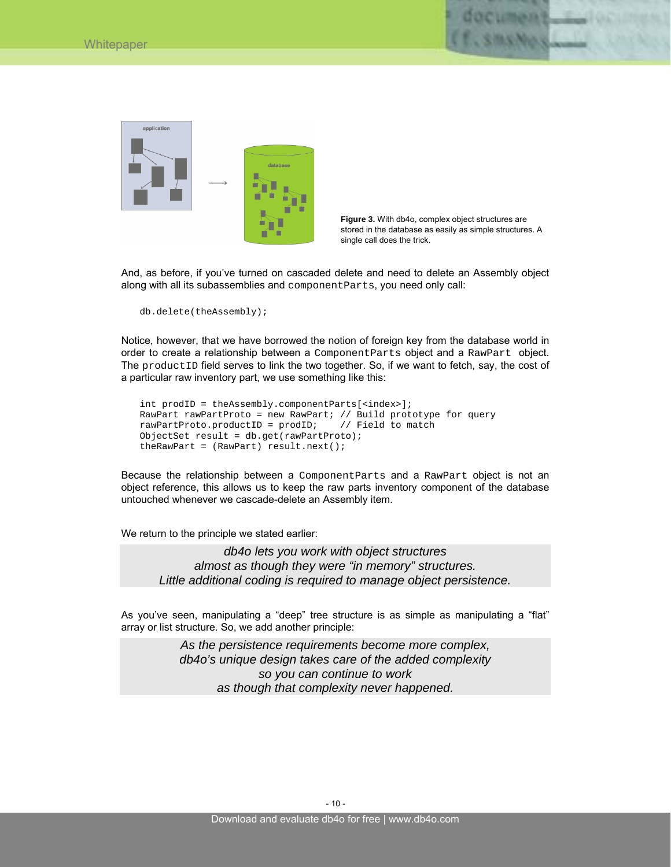



**Figure 3.** With db4o, complex object structures are stored in the database as easily as simple structures. A single call does the trick.

And, as before, if you've turned on cascaded delete and need to delete an Assembly object along with all its subassemblies and componentParts, you need only call:

db.delete(theAssembly);

Notice, however, that we have borrowed the notion of foreign key from the database world in order to create a relationship between a Component Parts object and a RawPart object. The productID field serves to link the two together. So, if we want to fetch, say, the cost of a particular raw inventory part, we use something like this:

```
int prodID = theAssembly.componentParts[<index>]; 
RawPart rawPartProto = new RawPart; // Build prototype for query
rawPartProbo.productID = prodID; // Field to match
ObjectSet result = db.get(rawPartProto); 
theRawPart = (RawPart) result.next();
```
Because the relationship between a ComponentParts and a RawPart object is not an object reference, this allows us to keep the raw parts inventory component of the database untouched whenever we cascade-delete an Assembly item.

We return to the principle we stated earlier:

*db4o lets you work with object structures almost as though they were "in memory" structures. Little additional coding is required to manage object persistence.* 

As you've seen, manipulating a "deep" tree structure is as simple as manipulating a "flat" array or list structure. So, we add another principle:

> *As the persistence requirements become more complex, db4o's unique design takes care of the added complexity so you can continue to work as though that complexity never happened.*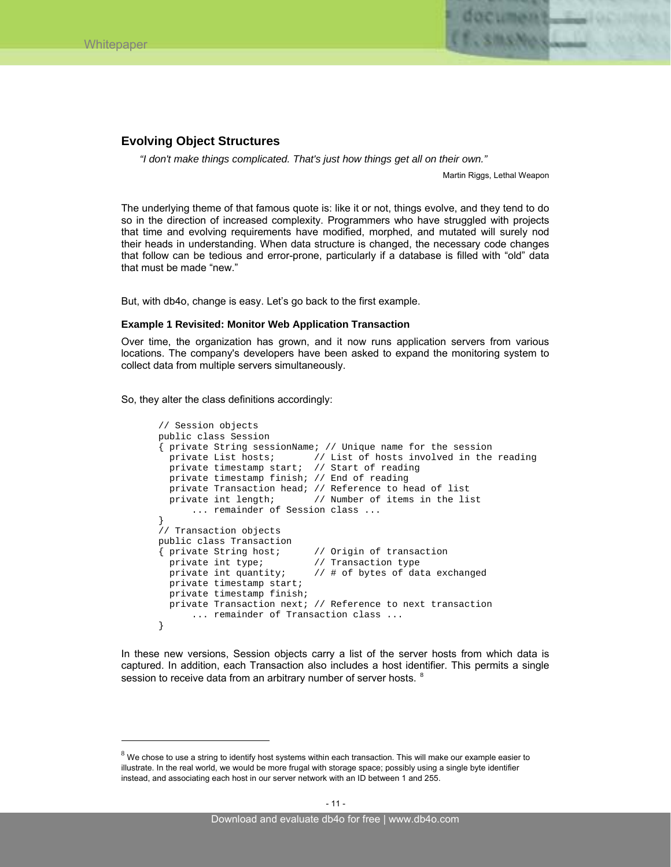$\overline{a}$ 



# **Evolving Object Structures**

*"I don't make things complicated. That's just how things get all on their own."* 

Martin Riggs, Lethal Weapon

The underlying theme of that famous quote is: like it or not, things evolve, and they tend to do so in the direction of increased complexity. Programmers who have struggled with projects that time and evolving requirements have modified, morphed, and mutated will surely nod their heads in understanding. When data structure is changed, the necessary code changes that follow can be tedious and error-prone, particularly if a database is filled with "old" data that must be made "new."

But, with db4o, change is easy. Let's go back to the first example.

#### **Example 1 Revisited: Monitor Web Application Transaction**

Over time, the organization has grown, and it now runs application servers from various locations. The company's developers have been asked to expand the monitoring system to collect data from multiple servers simultaneously.

So, they alter the class definitions accordingly:

```
// Session objects 
public class Session 
{ private String sessionName; // Unique name for the session 
 private List hosts; // List of hosts involved in the reading 
 private timestamp start; // Start of reading 
  private timestamp finish; // End of reading 
  private Transaction head; // Reference to head of list 
  private int length; // Number of items in the list 
       ... remainder of Session class ... 
} 
// Transaction objects 
public class Transaction 
{ private String host; // Origin of transaction 
 private int type; // Transaction type 
 private int quantity; // # of bytes of data exchanged 
  private timestamp start; 
  private timestamp finish; 
  private Transaction next; // Reference to next transaction 
       ... remainder of Transaction class ... 
}
```
In these new versions, Session objects carry a list of the server hosts from which data is captured. In addition, each Transaction also includes a host identifier. This permits a single session to receive data from an arbitrary number of server hosts. <sup>8</sup>

 $8$  We chose to use a string to identify host systems within each transaction. This will make our example easier to illustrate. In the real world, we would be more frugal with storage space; possibly using a single byte identifier instead, and associating each host in our server network with an ID between 1 and 255.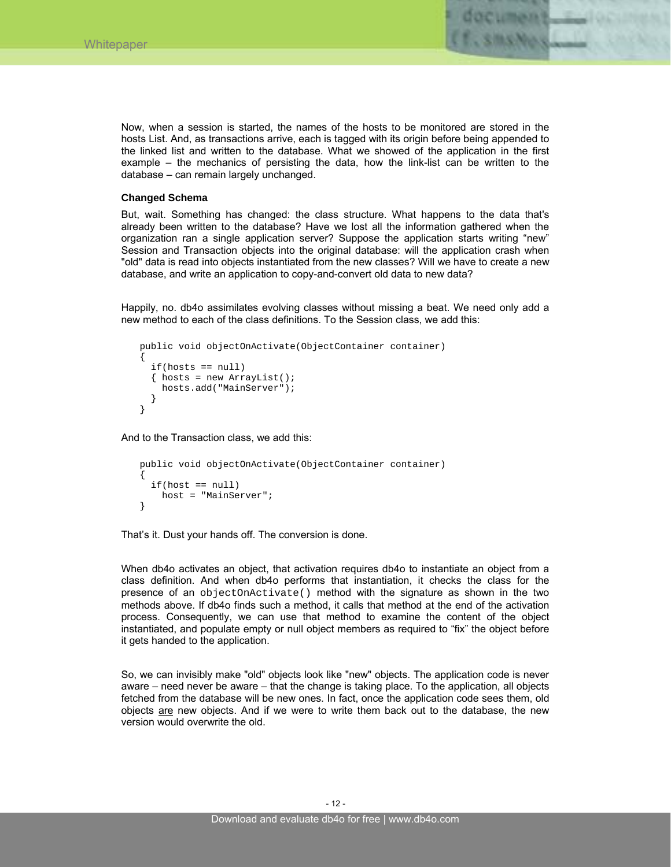

Now, when a session is started, the names of the hosts to be monitored are stored in the hosts List. And, as transactions arrive, each is tagged with its origin before being appended to the linked list and written to the database. What we showed of the application in the first example – the mechanics of persisting the data, how the link-list can be written to the database – can remain largely unchanged.

## **Changed Schema**

But, wait. Something has changed: the class structure. What happens to the data that's already been written to the database? Have we lost all the information gathered when the organization ran a single application server? Suppose the application starts writing "new" Session and Transaction objects into the original database: will the application crash when "old" data is read into objects instantiated from the new classes? Will we have to create a new database, and write an application to copy-and-convert old data to new data?

Happily, no. db4o assimilates evolving classes without missing a beat. We need only add a new method to each of the class definitions. To the Session class, we add this:

```
public void objectOnActivate(ObjectContainer container) 
{ 
   if(hosts == null) 
   { hosts = new ArrayList(); 
     hosts.add("MainServer"); 
 } 
}
```
And to the Transaction class, we add this:

```
public void objectOnActivate(ObjectContainer container) 
{ 
   if(host == null) 
     host = "MainServer"; 
}
```
That's it. Dust your hands off. The conversion is done.

When db4o activates an object, that activation requires db4o to instantiate an object from a class definition. And when db4o performs that instantiation, it checks the class for the presence of an objectOnActivate() method with the signature as shown in the two methods above. If db4o finds such a method, it calls that method at the end of the activation process. Consequently, we can use that method to examine the content of the object instantiated, and populate empty or null object members as required to "fix" the object before it gets handed to the application.

So, we can invisibly make "old" objects look like "new" objects. The application code is never aware – need never be aware – that the change is taking place. To the application, all objects fetched from the database will be new ones. In fact, once the application code sees them, old objects are new objects. And if we were to write them back out to the database, the new version would overwrite the old.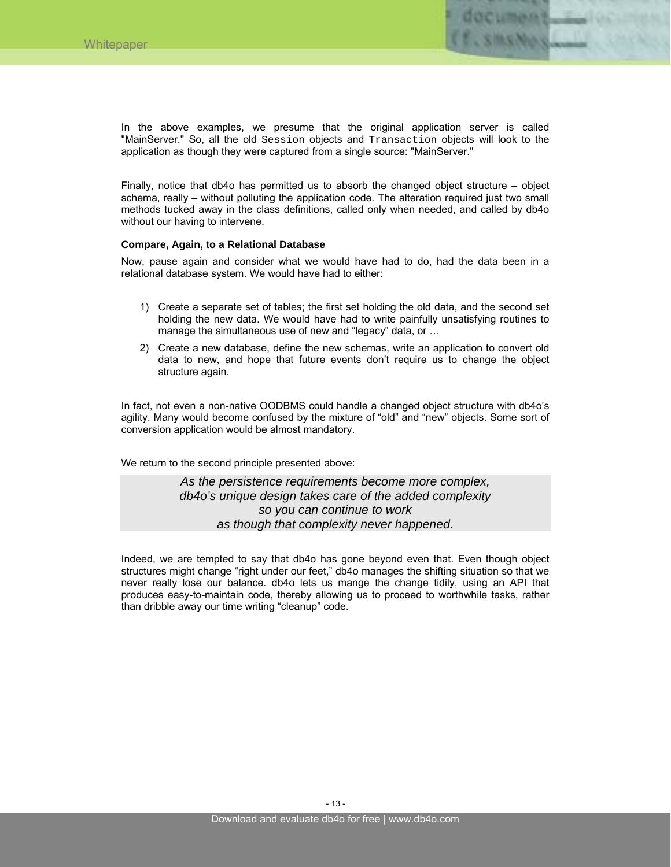

In the above examples, we presume that the original application server is called "MainServer." So, all the old Session objects and Transaction objects will look to the application as though they were captured from a single source: "MainServer."

Finally, notice that db4o has permitted us to absorb the changed object structure – object schema, really – without polluting the application code. The alteration required just two small methods tucked away in the class definitions, called only when needed, and called by db4o without our having to intervene.

## **Compare, Again, to a Relational Database**

Now, pause again and consider what we would have had to do, had the data been in a relational database system. We would have had to either:

- 1) Create a separate set of tables; the first set holding the old data, and the second set holding the new data. We would have had to write painfully unsatisfying routines to manage the simultaneous use of new and "legacy" data, or …
- 2) Create a new database, define the new schemas, write an application to convert old data to new, and hope that future events don't require us to change the object structure again.

In fact, not even a non-native OODBMS could handle a changed object structure with db4o's agility. Many would become confused by the mixture of "old" and "new" objects. Some sort of conversion application would be almost mandatory.

We return to the second principle presented above:

*As the persistence requirements become more complex, db4o's unique design takes care of the added complexity so you can continue to work as though that complexity never happened.* 

Indeed, we are tempted to say that db4o has gone beyond even that. Even though object structures might change "right under our feet," db4o manages the shifting situation so that we never really lose our balance. db4o lets us mange the change tidily, using an API that produces easy-to-maintain code, thereby allowing us to proceed to worthwhile tasks, rather than dribble away our time writing "cleanup" code.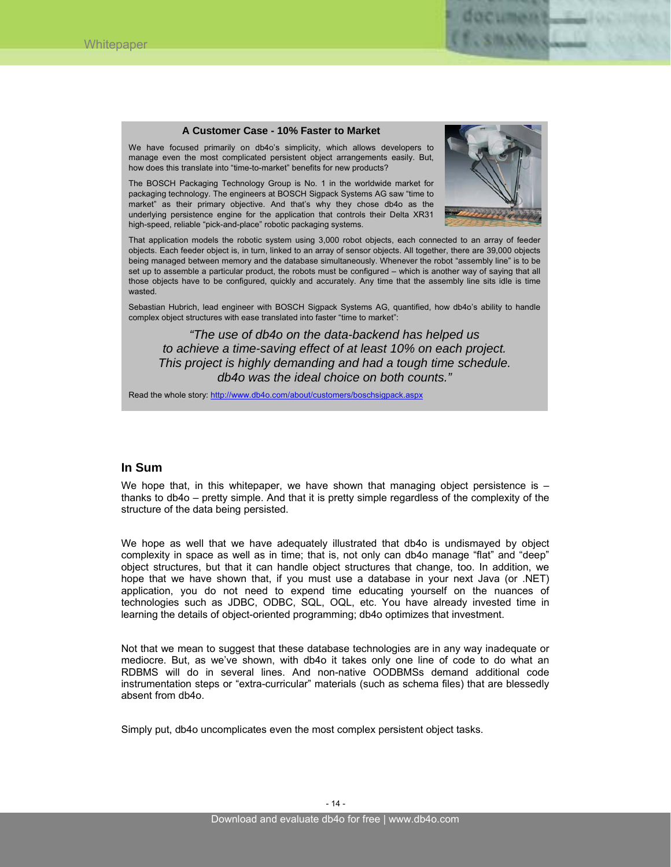## **A Customer Case - 10% Faster to Market**

We have focused primarily on db4o's simplicity, which allows developers to manage even the most complicated persistent object arrangements easily. But, how does this translate into "time-to-market" benefits for new products?

The BOSCH Packaging Technology Group is No. 1 in the worldwide market for packaging technology. The engineers at BOSCH Sigpack Systems AG saw "time to market" as their primary objective. And that's why they chose db4o as the underlying persistence engine for the application that controls their Delta XR31 high-speed, reliable "pick-and-place" robotic packaging systems.



That application models the robotic system using 3,000 robot objects, each connected to an array of feeder objects. Each feeder object is, in turn, linked to an array of sensor objects. All together, there are 39,000 objects being managed between memory and the database simultaneously. Whenever the robot "assembly line" is to be set up to assemble a particular product, the robots must be configured – which is another way of saying that all those objects have to be configured, quickly and accurately. Any time that the assembly line sits idle is time wasted.

Sebastian Hubrich, lead engineer with BOSCH Sigpack Systems AG, quantified, how db4o's ability to handle complex object structures with ease translated into faster "time to market":

*"The use of db4o on the data-backend has helped us to achieve a time-saving effect of at least 10% on each project. This project is highly demanding and had a tough time schedule. db4o was the ideal choice on both counts."* 

Read the whole story: http://www.db4o.com/about/customers/boschsigpack.aspx

## **In Sum**

We hope that, in this whitepaper, we have shown that managing object persistence is  $$ thanks to db4o – pretty simple. And that it is pretty simple regardless of the complexity of the structure of the data being persisted.

We hope as well that we have adequately illustrated that db4o is undismayed by object complexity in space as well as in time; that is, not only can db4o manage "flat" and "deep" object structures, but that it can handle object structures that change, too. In addition, we hope that we have shown that, if you must use a database in your next Java (or .NET) application, you do not need to expend time educating yourself on the nuances of technologies such as JDBC, ODBC, SQL, OQL, etc. You have already invested time in learning the details of object-oriented programming; db4o optimizes that investment.

Not that we mean to suggest that these database technologies are in any way inadequate or mediocre. But, as we've shown, with db4o it takes only one line of code to do what an RDBMS will do in several lines. And non-native OODBMSs demand additional code instrumentation steps or "extra-curricular" materials (such as schema files) that are blessedly absent from db4o.

Simply put, db4o uncomplicates even the most complex persistent object tasks.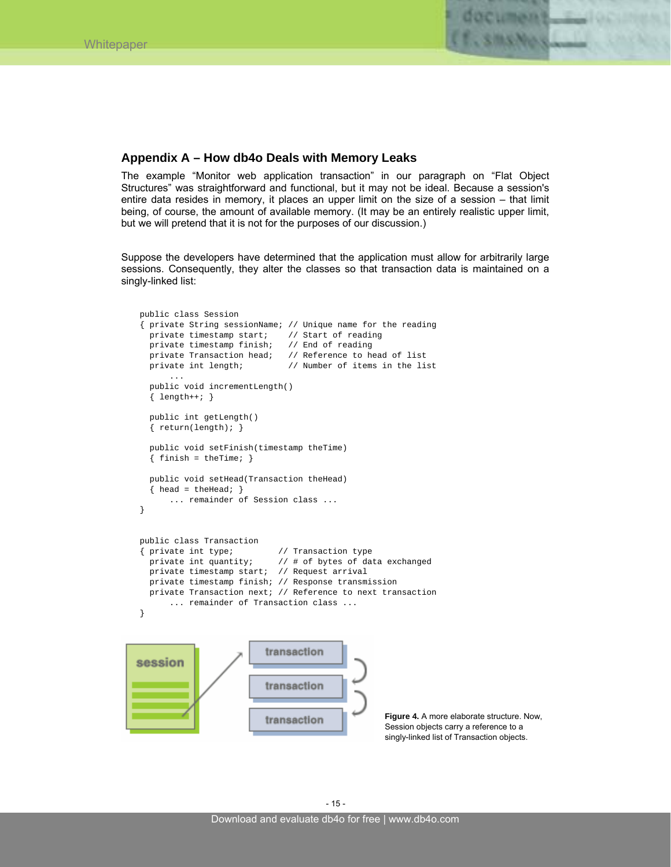

# **Appendix A – How db4o Deals with Memory Leaks**

The example "Monitor web application transaction" in our paragraph on "Flat Object Structures" was straightforward and functional, but it may not be ideal. Because a session's entire data resides in memory, it places an upper limit on the size of a session – that limit being, of course, the amount of available memory. (It may be an entirely realistic upper limit, but we will pretend that it is not for the purposes of our discussion.)

Suppose the developers have determined that the application must allow for arbitrarily large sessions. Consequently, they alter the classes so that transaction data is maintained on a singly-linked list:

```
public class Session 
{ private String sessionName; // Unique name for the reading 
 private timestamp start; // Start of reading 
 private timestamp finish; // End of reading 
  private Transaction head; // Reference to head of list 
   private int length; // Number of items in the list 
       ... 
   public void incrementLength() 
  \{ length++; \} public int getLength() 
   { return(length); } 
   public void setFinish(timestamp theTime) 
   { finish = theTime; } 
   public void setHead(Transaction theHead) 
  \{ head = theHead \} ... remainder of Session class ... 
} 
public class Transaction 
{ private int type; // Transaction type 
 private int quantity; // # of bytes of data exchanged 
 private timestamp start; // Request arrival 
 private timestamp finish; // Response transmission 
  private Transaction next; // Reference to next transaction 
       ... remainder of Transaction class ... 
} 
                          transaction
```


**Figure 4.** A more elaborate structure. Now, Session objects carry a reference to a singly-linked list of Transaction objects.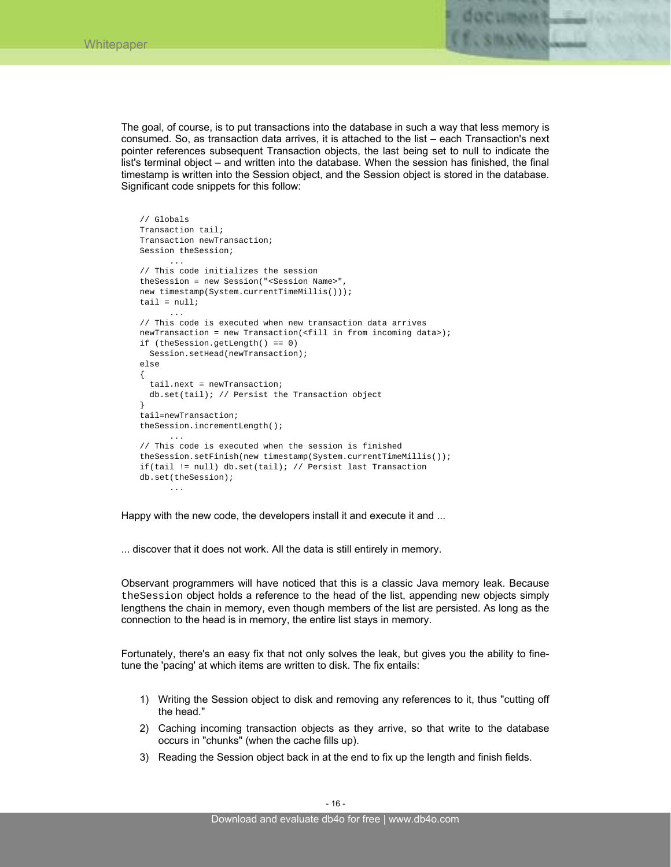

The goal, of course, is to put transactions into the database in such a way that less memory is consumed. So, as transaction data arrives, it is attached to the list – each Transaction's next pointer references subsequent Transaction objects, the last being set to null to indicate the list's terminal object – and written into the database. When the session has finished, the final timestamp is written into the Session object, and the Session object is stored in the database. Significant code snippets for this follow:

```
// Globals 
Transaction tail; 
Transaction newTransaction; 
Session theSession; 
       ... 
// This code initializes the session 
theSession = new Session("<Session Name>", 
new timestamp(System.currentTimeMillis()));
tail = null; ... 
// This code is executed when new transaction data arrives 
newTransaction = new Transaction(<fill in from incoming data>);
if (theSession.getLength() == 0) 
   Session.setHead(newTransaction); 
else 
{ 
   tail.next = newTransaction; 
  db.set(tail); // Persist the Transaction object 
} 
tail=newTransaction; 
theSession.incrementLength(); 
 ... 
// This code is executed when the session is finished 
theSession.setFinish(new timestamp(System.currentTimeMillis()); 
if(tail != null) db.set(tail); // Persist last Transaction 
db.set(theSession); 
       ...
```
Happy with the new code, the developers install it and execute it and ...

... discover that it does not work. All the data is still entirely in memory.

Observant programmers will have noticed that this is a classic Java memory leak. Because theSession object holds a reference to the head of the list, appending new objects simply lengthens the chain in memory, even though members of the list are persisted. As long as the connection to the head is in memory, the entire list stays in memory.

Fortunately, there's an easy fix that not only solves the leak, but gives you the ability to finetune the 'pacing' at which items are written to disk. The fix entails:

- 1) Writing the Session object to disk and removing any references to it, thus "cutting off the head."
- 2) Caching incoming transaction objects as they arrive, so that write to the database occurs in "chunks" (when the cache fills up).
- 3) Reading the Session object back in at the end to fix up the length and finish fields.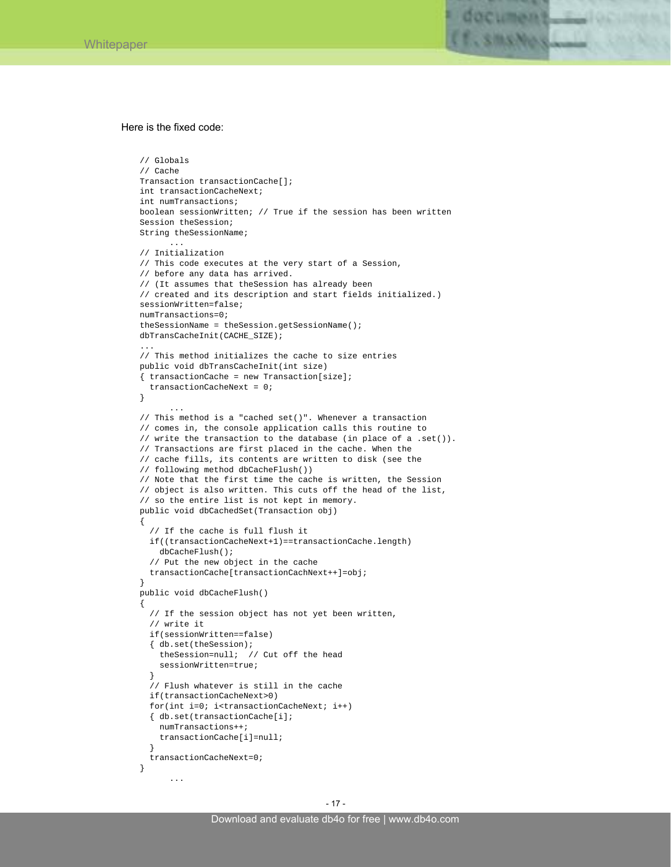

Here is the fixed code:

```
// Globals 
// Cache 
Transaction transactionCache[]; 
int transactionCacheNext; 
int numTransactions; 
boolean sessionWritten; // True if the session has been written 
Session theSession; 
String theSessionName; 
       ... 
// Initialization 
// This code executes at the very start of a Session, 
// before any data has arrived. 
// (It assumes that theSession has already been 
// created and its description and start fields initialized.) 
sessionWritten=false; 
numTransactions=0; 
theSessionName = theSession.getSessionName(); 
dbTransCacheInit(CACHE_SIZE); 
... 
// This method initializes the cache to size entries 
public void dbTransCacheInit(int size) 
{ transactionCache = new Transaction[size]; 
   transactionCacheNext = 0; 
} 
 ... 
// This method is a "cached set()". Whenever a transaction 
// comes in, the console application calls this routine to 
// write the transaction to the database (in place of a .set()). 
// Transactions are first placed in the cache. When the 
// cache fills, its contents are written to disk (see the 
// following method dbCacheFlush()) 
// Note that the first time the cache is written, the Session 
// object is also written. This cuts off the head of the list, 
// so the entire list is not kept in memory. 
public void dbCachedSet(Transaction obj) 
{ 
   // If the cache is full flush it 
  if((transactionCacheNext+1)==transactionCache.length) 
     dbCacheFlush(); 
   // Put the new object in the cache 
   transactionCache[transactionCachNext++]=obj; 
} 
public void dbCacheFlush() 
{ 
   // If the session object has not yet been written, 
   // write it 
   if(sessionWritten==false) 
   { db.set(theSession); 
     theSession=null; // Cut off the head 
     sessionWritten=true; 
 } 
   // Flush whatever is still in the cache 
   if(transactionCacheNext>0) 
   for(int i=0; i<transactionCacheNext; i++) 
   { db.set(transactionCache[i]; 
     numTransactions++; 
     transactionCache[i]=null; 
 } 
   transactionCacheNext=0; 
} 
       ...
```